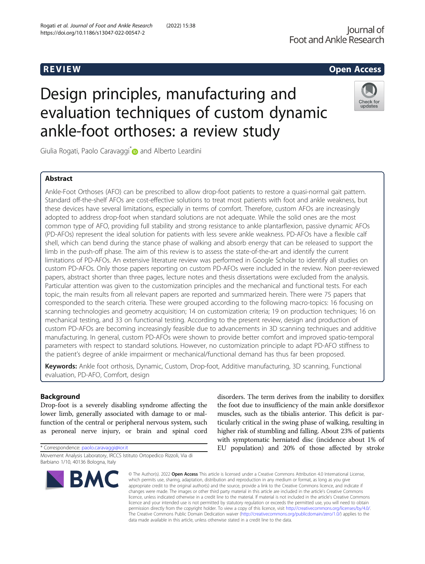## R EVI EW Open Access

# Design principles, manufacturing and evaluation techniques of custom dynamic ankle-foot orthoses: a review study



Giulia Rogati, Paolo Caravaggi D and Alberto Leardini

## Abstract

Ankle-Foot Orthoses (AFO) can be prescribed to allow drop-foot patients to restore a quasi-normal gait pattern. Standard off-the-shelf AFOs are cost-effective solutions to treat most patients with foot and ankle weakness, but these devices have several limitations, especially in terms of comfort. Therefore, custom AFOs are increasingly adopted to address drop-foot when standard solutions are not adequate. While the solid ones are the most common type of AFO, providing full stability and strong resistance to ankle plantarflexion, passive dynamic AFOs (PD-AFOs) represent the ideal solution for patients with less severe ankle weakness. PD-AFOs have a flexible calf shell, which can bend during the stance phase of walking and absorb energy that can be released to support the limb in the push-off phase. The aim of this review is to assess the state-of-the-art and identify the current limitations of PD-AFOs. An extensive literature review was performed in Google Scholar to identify all studies on custom PD-AFOs. Only those papers reporting on custom PD-AFOs were included in the review. Non peer-reviewed papers, abstract shorter than three pages, lecture notes and thesis dissertations were excluded from the analysis. Particular attention was given to the customization principles and the mechanical and functional tests. For each topic, the main results from all relevant papers are reported and summarized herein. There were 75 papers that corresponded to the search criteria. These were grouped according to the following macro-topics: 16 focusing on scanning technologies and geometry acquisition; 14 on customization criteria; 19 on production techniques; 16 on mechanical testing, and 33 on functional testing. According to the present review, design and production of custom PD-AFOs are becoming increasingly feasible due to advancements in 3D scanning techniques and additive manufacturing. In general, custom PD-AFOs were shown to provide better comfort and improved spatio-temporal parameters with respect to standard solutions. However, no customization principle to adapt PD-AFO stiffness to the patient's degree of ankle impairment or mechanical/functional demand has thus far been proposed.

Keywords: Ankle foot orthosis, Dynamic, Custom, Drop-foot, Additive manufacturing, 3D scanning, Functional evaluation, PD-AFO, Comfort, design

## Background

Drop-foot is a severely disabling syndrome affecting the lower limb, generally associated with damage to or malfunction of the central or peripheral nervous system, such as peroneal nerve injury, or brain and spinal cord

\* Correspondence: [paolo.caravaggi@ior.it](mailto:paolo.caravaggi@ior.it)

Movement Analysis Laboratory, IRCCS Istituto Ortopedico Rizzoli, Via di Barbiano 1/10, 40136 Bologna, Italy



disorders. The term derives from the inability to dorsiflex the foot due to insufficiency of the main ankle dorsiflexor muscles, such as the tibialis anterior. This deficit is particularly critical in the swing phase of walking, resulting in higher risk of stumbling and falling. About 23% of patients with symptomatic herniated disc (incidence about 1% of EU population) and 20% of those affected by stroke

© The Author(s), 2022 **Open Access** This article is licensed under a Creative Commons Attribution 4.0 International License, which permits use, sharing, adaptation, distribution and reproduction in any medium or format, as long as you give appropriate credit to the original author(s) and the source, provide a link to the Creative Commons licence, and indicate if changes were made. The images or other third party material in this article are included in the article's Creative Commons licence, unless indicated otherwise in a credit line to the material. If material is not included in the article's Creative Commons licence and your intended use is not permitted by statutory regulation or exceeds the permitted use, you will need to obtain permission directly from the copyright holder. To view a copy of this licence, visit [http://creativecommons.org/licenses/by/4.0/.](http://creativecommons.org/licenses/by/4.0/) The Creative Commons Public Domain Dedication waiver [\(http://creativecommons.org/publicdomain/zero/1.0/](http://creativecommons.org/publicdomain/zero/1.0/)) applies to the data made available in this article, unless otherwise stated in a credit line to the data.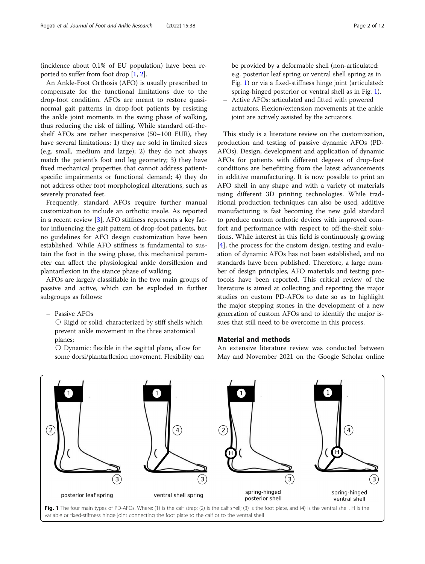<span id="page-1-0"></span>(incidence about 0.1% of EU population) have been reported to suffer from foot drop [[1](#page-9-0), [2\]](#page-9-0).

An Ankle-Foot Orthosis (AFO) is usually prescribed to compensate for the functional limitations due to the drop-foot condition. AFOs are meant to restore quasinormal gait patterns in drop-foot patients by resisting the ankle joint moments in the swing phase of walking, thus reducing the risk of falling. While standard off-theshelf AFOs are rather inexpensive (50–100 EUR), they have several limitations: 1) they are sold in limited sizes (e.g. small, medium and large); 2) they do not always match the patient's foot and leg geometry; 3) they have fixed mechanical properties that cannot address patientspecific impairments or functional demand; 4) they do not address other foot morphological alterations, such as severely pronated feet.

Frequently, standard AFOs require further manual customization to include an orthotic insole. As reported in a recent review [[3](#page-9-0)], AFO stiffness represents a key factor influencing the gait pattern of drop-foot patients, but no guidelines for AFO design customization have been established. While AFO stiffness is fundamental to sustain the foot in the swing phase, this mechanical parameter can affect the physiological ankle dorsiflexion and plantarflexion in the stance phase of walking.

AFOs are largely classifiable in the two main groups of passive and active, which can be exploded in further subgroups as follows:

– Passive AFOs

○ Rigid or solid: characterized by stiff shells which prevent ankle movement in the three anatomical planes;

○ Dynamic: flexible in the sagittal plane, allow for some dorsi/plantarflexion movement. Flexibility can

be provided by a deformable shell (non-articulated: e.g. posterior leaf spring or ventral shell spring as in Fig. 1) or via a fixed-stiffness hinge joint (articulated: spring-hinged posterior or ventral shell as in Fig. 1).

– Active AFOs: articulated and fitted with powered actuators. Flexion/extension movements at the ankle joint are actively assisted by the actuators.

This study is a literature review on the customization, production and testing of passive dynamic AFOs (PD-AFOs). Design, development and application of dynamic AFOs for patients with different degrees of drop-foot conditions are benefitting from the latest advancements in additive manufacturing. It is now possible to print an AFO shell in any shape and with a variety of materials using different 3D printing technologies. While traditional production techniques can also be used, additive manufacturing is fast becoming the new gold standard to produce custom orthotic devices with improved comfort and performance with respect to off-the-shelf solutions. While interest in this field is continuously growing [[4\]](#page-9-0), the process for the custom design, testing and evaluation of dynamic AFOs has not been established, and no standards have been published. Therefore, a large number of design principles, AFO materials and testing protocols have been reported. This critical review of the literature is aimed at collecting and reporting the major studies on custom PD-AFOs to date so as to highlight the major stepping stones in the development of a new generation of custom AFOs and to identify the major issues that still need to be overcome in this process.

## Material and methods

An extensive literature review was conducted between May and November 2021 on the Google Scholar online



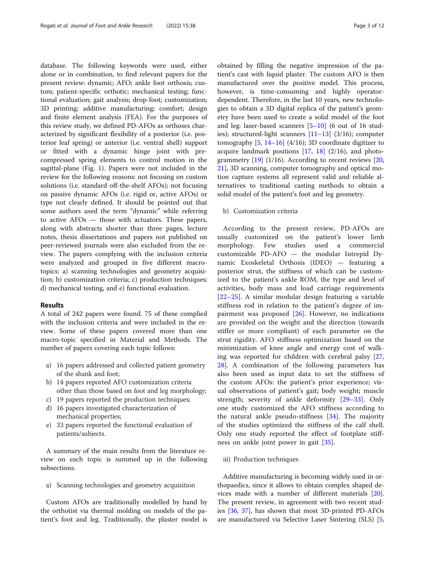database. The following keywords were used, either alone or in combination, to find relevant papers for the present review: dynamic; AFO; ankle foot orthosis; custom; patient-specific orthotic; mechanical testing; functional evaluation; gait analysis; drop-foot; customization; 3D printing; additive manufacturing; comfort; design and finite element analysis (FEA). For the purposes of this review study, we defined PD-AFOs as orthoses characterized by significant flexibility of a posterior (i.e. posterior leaf spring) or anterior (i.e. ventral shell) support or fitted with a dynamic hinge joint with precompressed spring elements to control motion in the sagittal-plane (Fig. [1\)](#page-1-0). Papers were not included in the review for the following reasons: not focusing on custom solutions (i.e. standard off-the-shelf AFOs); not focusing on passive dynamic AFOs (i.e. rigid or, active AFOs) or type not clearly defined. It should be pointed out that some authors used the term "dynamic" while referring to active AFOs — those with actuators. These papers, along with abstracts shorter than three pages, lecture notes, thesis dissertations and papers not published on peer-reviewed journals were also excluded from the review. The papers complying with the inclusion criteria were analyzed and grouped in five different macrotopics: a) scanning technologies and geometry acquisition; b) customization criteria; c) production techniques; d) mechanical testing, and e) functional evaluation.

#### Results

A total of 242 papers were found. 75 of these complied with the inclusion criteria and were included in the review. Some of these papers covered more than one macro-topic specified in Material and Methods. The number of papers covering each topic follows:

- a) 16 papers addressed and collected patient geometry of the shank and foot;
- b) 14 papers reported AFO customization criteria other than those based on foot and leg morphology;
- c) 19 papers reported the production techniques;
- d) 16 papers investigated characterization of mechanical properties;
- e) 33 papers reported the functional evaluation of patients/subjects.

A summary of the main results from the literature review on each topic is summed up in the following subsections.

a) Scanning technologies and geometry acquisition

Custom AFOs are traditionally modelled by hand by the orthotist via thermal molding on models of the patient's foot and leg. Traditionally, the plaster model is obtained by filling the negative impression of the patient's cast with liquid plaster. The custom AFO is then manufactured over the positive model. This process, however, is time-consuming and highly operatordependent. Therefore, in the last 10 years, new technologies to obtain a 3D digital replica of the patient's geometry have been used to create a solid model of the foot and leg: laser-based scanners [[5](#page-9-0)–[10](#page-9-0)] (6 out of 16 studies); structured-light scanners  $[11–13]$  $[11–13]$  $[11–13]$  $[11–13]$  (3/16); computer tomography  $[5, 14-16]$  $[5, 14-16]$  $[5, 14-16]$  $[5, 14-16]$  $[5, 14-16]$  $[5, 14-16]$  (4/16); 3D coordinate digitizer to acquire landmark positions  $[17, 18]$  $[17, 18]$  $[17, 18]$  $[17, 18]$   $(2/16)$ , and photogrammetry  $[19]$  $[19]$  (1/16). According to recent reviews  $[20, 1]$  $[20, 1]$  $[20, 1]$ [21\]](#page-9-0), 3D scanning, computer tomography and optical motion capture systems all represent valid and reliable alternatives to traditional casting methods to obtain a solid model of the patient's foot and leg geometry.

#### b) Customization criteria

According to the present review, PD-AFOs are usually customized on the patient's lower limb morphology. Few studies used a commercial customizable PD-AFO — the modular Intrepid Dynamic Exoskeletal Orthosis (IDEO) — featuring a posterior strut, the stiffness of which can be customized to the patient's ankle ROM, the type and level of activities, body mass and load carriage requirements [[22](#page-9-0)–[25\]](#page-9-0). A similar modular design featuring a variable stiffness rod in relation to the patient's degree of impairment was proposed [[26](#page-10-0)]. However, no indications are provided on the weight and the direction (towards stiffer or more compliant) of each parameter on the strut rigidity. AFO stiffness optimization based on the minimization of knee angle and energy cost of walking was reported for children with cerebral palsy [\[27](#page-10-0), [28\]](#page-10-0). A combination of the following parameters has also been used as input data to set the stiffness of the custom AFOs: the patient's prior experience; visual observations of patient's gait; body weight; muscle strength; severity of ankle deformity [[29](#page-10-0)–[33](#page-10-0)]. Only one study customized the AFO stiffness according to the natural ankle pseudo-stiffness [\[34](#page-10-0)]. The majority of the studies optimized the stiffness of the calf shell. Only one study reported the effect of footplate stiffness on ankle joint power in gait [\[35](#page-10-0)].

#### iii) Production techniques

Additive manufacturing is becoming widely used in orthopaedics, since it allows to obtain complex shaped devices made with a number of different materials [\[20](#page-9-0)]. The present review, in agreement with two recent studies [[36](#page-10-0), [37](#page-10-0)], has shown that most 3D-printed PD-AFOs are manufactured via Selective Laser Sintering (SLS) [[5](#page-9-0),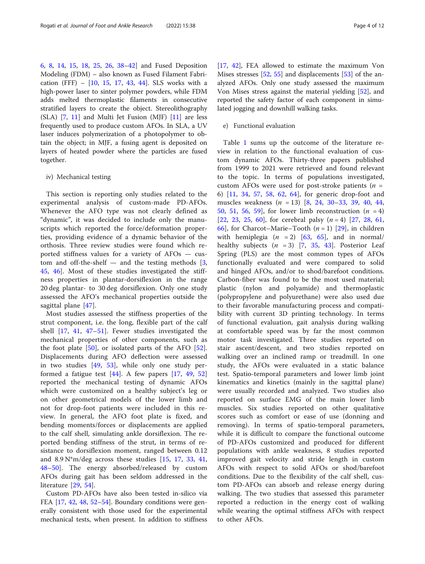[6,](#page-9-0) [8](#page-9-0), [14](#page-9-0), [15,](#page-9-0) [18,](#page-9-0) [25](#page-9-0), [26](#page-10-0), [38](#page-10-0)–[42\]](#page-10-0) and Fused Deposition Modeling (FDM) – also known as Fused Filament Fabrication (FFF) – [[10,](#page-9-0) [15,](#page-9-0) [17](#page-9-0), [43](#page-10-0), [44\]](#page-10-0). SLS works with a high-power laser to sinter polymer powders, while FDM adds melted thermoplastic filaments in consecutive stratified layers to create the object. Stereolithography (SLA) [\[7](#page-9-0), [11](#page-9-0)] and Multi Jet Fusion (MJF) [[11](#page-9-0)] are less frequently used to produce custom AFOs. In SLA, a UV laser induces polymerization of a photopolymer to obtain the object; in MJF, a fusing agent is deposited on layers of heated powder where the particles are fused together.

#### iv) Mechanical testing

This section is reporting only studies related to the experimental analysis of custom-made PD-AFOs. Whenever the AFO type was not clearly defined as "dynamic", it was decided to include only the manuscripts which reported the force/deformation properties, providing evidence of a dynamic behavior of the orthosis. Three review studies were found which reported stiffness values for a variety of AFOs — custom and off-the-shelf  $-$  and the testing methods  $[3, 3]$  $[3, 3]$ [45,](#page-10-0) [46](#page-10-0)]. Most of these studies investigated the stiffness properties in plantar-dorsiflexion in the range 20 deg plantar- to 30 deg dorsiflexion. Only one study assessed the AFO's mechanical properties outside the sagittal plane [[47\]](#page-10-0).

Most studies assessed the stiffness properties of the strut component, i.e. the long, flexible part of the calf shell [[17,](#page-9-0) [41](#page-10-0), [47](#page-10-0)–[51](#page-10-0)]. Fewer studies investigated the mechanical properties of other components, such as the foot plate [[50](#page-10-0)], or isolated parts of the AFO [\[52](#page-10-0)]. Displacements during AFO deflection were assessed in two studies [[49,](#page-10-0) [53](#page-10-0)], while only one study performed a fatigue test  $[44]$  $[44]$ . A few papers  $[17, 49, 52]$  $[17, 49, 52]$  $[17, 49, 52]$  $[17, 49, 52]$  $[17, 49, 52]$  $[17, 49, 52]$ reported the mechanical testing of dynamic AFOs which were customized on a healthy subject's leg or on other geometrical models of the lower limb and not for drop-foot patients were included in this review. In general, the AFO foot plate is fixed, and bending moments/forces or displacements are applied to the calf shell, simulating ankle dorsiflexion. The reported bending stiffness of the strut, in terms of resistance to dorsiflexion moment, ranged between 0.12 and  $8.9 \text{ N}^* \text{m}/\text{deg}$  across these studies [\[15](#page-9-0), [17](#page-9-0), [33](#page-10-0), [41](#page-10-0), [48](#page-10-0)–[50\]](#page-10-0). The energy absorbed/released by custom AFOs during gait has been seldom addressed in the literature [[29](#page-10-0), [54](#page-10-0)].

Custom PD-AFOs have also been tested in-silico via FEA  $[17, 42, 48, 52-54]$  $[17, 42, 48, 52-54]$  $[17, 42, 48, 52-54]$  $[17, 42, 48, 52-54]$  $[17, 42, 48, 52-54]$  $[17, 42, 48, 52-54]$  $[17, 42, 48, 52-54]$  $[17, 42, 48, 52-54]$  $[17, 42, 48, 52-54]$  $[17, 42, 48, 52-54]$  $[17, 42, 48, 52-54]$ . Boundary conditions were generally consistent with those used for the experimental mechanical tests, when present. In addition to stiffness

[[17,](#page-9-0) [42\]](#page-10-0), FEA allowed to estimate the maximum Von Mises stresses [[52](#page-10-0), [55\]](#page-10-0) and displacements [[53\]](#page-10-0) of the analyzed AFOs. Only one study assessed the maximum Von Mises stress against the material yielding [[52](#page-10-0)], and reported the safety factor of each component in simulated jogging and downhill walking tasks.

#### e) Functional evaluation

Table [1](#page-4-0) sums up the outcome of the literature review in relation to the functional evaluation of custom dynamic AFOs. Thirty-three papers published from 1999 to 2021 were retrieved and found relevant to the topic. In terms of populations investigated, custom AFOs were used for post-stroke patients ( $n =$ 6) [[11](#page-9-0), [34](#page-10-0), [57](#page-10-0), [58](#page-10-0), [62](#page-10-0), [64\]](#page-10-0), for generic drop-foot and muscles weakness (n = 13) [\[8](#page-9-0), [24,](#page-9-0) [30](#page-10-0)–[33,](#page-10-0) [39,](#page-10-0) [40](#page-10-0), [44](#page-10-0), [50,](#page-10-0) [51,](#page-10-0) [56,](#page-10-0) 59, for lower limb reconstruction  $(n = 4)$ [[22,](#page-9-0) [23,](#page-9-0) [25,](#page-9-0) [60](#page-10-0)], for cerebral palsy  $(n = 4)$  [[27,](#page-10-0) [28,](#page-10-0) [61](#page-10-0), [66\]](#page-11-0), for Charcot–Marie–Tooth  $(n = 1)$  [[29](#page-10-0)], in children with hemiplegia  $(n = 2)$  [[63](#page-10-0), [65](#page-11-0)], and in normal/ healthy subjects  $(n = 3)$  [\[7](#page-9-0), [35,](#page-10-0) [43\]](#page-10-0). Posterior Leaf Spring (PLS) are the most common types of AFOs functionally evaluated and were compared to solid and hinged AFOs, and/or to shod/barefoot conditions. Carbon-fiber was found to be the most used material; plastic (nylon and polyamide) and thermoplastic (polypropylene and polyurethane) were also used due to their favorable manufacturing process and compatibility with current 3D printing technology. In terms of functional evaluation, gait analysis during walking at comfortable speed was by far the most common motor task investigated. Three studies reported on stair ascent/descent, and two studies reported on walking over an inclined ramp or treadmill. In one study, the AFOs were evaluated in a static balance test. Spatio-temporal parameters and lower limb joint kinematics and kinetics (mainly in the sagittal plane) were usually recorded and analyzed. Two studies also reported on surface EMG of the main lower limb muscles. Six studies reported on other qualitative scores such as comfort or ease of use (donning and removing). In terms of spatio-temporal parameters, while it is difficult to compare the functional outcome of PD-AFOs customized and produced for different populations with ankle weakness, 8 studies reported improved gait velocity and stride length in custom AFOs with respect to solid AFOs or shod/barefoot conditions. Due to the flexibility of the calf shell, custom PD-AFOs can absorb and release energy during walking. The two studies that assessed this parameter reported a reduction in the energy cost of walking while wearing the optimal stiffness AFOs with respect to other AFOs.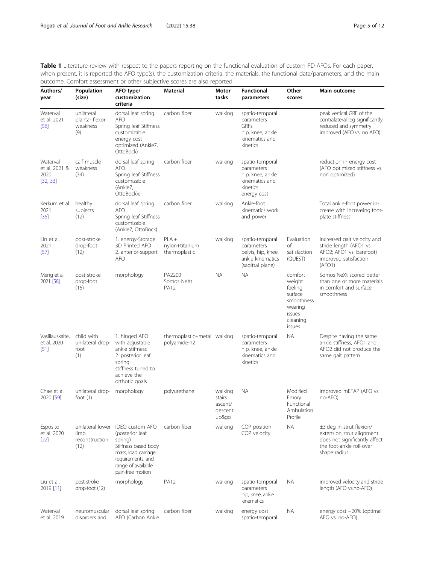<span id="page-4-0"></span>Table 1 Literature review with respect to the papers reporting on the functional evaluation of custom PD-AFOs. For each paper, when present, it is reported the AFO type(s), the customization criteria, the materials, the functional data/parameters, and the main outcome. Comfort assessment or other subjective scores are also reported

| Authors/<br>year                              | Population<br>(size)                               | AFO type/<br>customization<br>criteria                                                                                                                             | <b>Material</b>                             | Motor<br>tasks                                   | <b>Functional</b><br>parameters                                                                | Other<br>scores                                                                                  | Main outcome                                                                                                                       |
|-----------------------------------------------|----------------------------------------------------|--------------------------------------------------------------------------------------------------------------------------------------------------------------------|---------------------------------------------|--------------------------------------------------|------------------------------------------------------------------------------------------------|--------------------------------------------------------------------------------------------------|------------------------------------------------------------------------------------------------------------------------------------|
| Waterval<br>et al. 2021<br>$[56]$             | unilateral<br>plantar flexor<br>weakness<br>(9)    | dorsal leaf spring<br><b>AFO</b><br>Spring leaf Stiffness<br>customizable<br>energy cost<br>optimized (Ankle7,<br>OttoBock)                                        | carbon fiber                                | walking                                          | spatio-temporal<br>parameters<br>GRFs<br>hip, knee, ankle<br>kinematics and<br>kinetics        |                                                                                                  | peak vertical GRF of the<br>contralateral leg significantly<br>reduced and symmetry<br>improved (AFO vs. no AFO)                   |
| Waterval<br>et al. 2021 &<br>2020<br>[32, 33] | calf muscle<br>weakness<br>(34)                    | dorsal leaf spring<br><b>AFO</b><br>Spring leaf Stiffness<br>customizable<br>(Ankle7,<br>OttoBock)e                                                                | carbon fiber                                | walking                                          | spatio-temporal<br>parameters<br>hip, knee, ankle<br>kinematics and<br>kinetics<br>energy cost |                                                                                                  | reduction in energy cost<br>(AFO optimized stiffness vs.<br>non optimized)                                                         |
| Kerkum et al. healthy<br>2021<br>$[35]$       | subjects<br>(12)                                   | dorsal leaf spring<br><b>AFO</b><br>Spring leaf Stiffness<br>customizable<br>(Ankle7, OttoBock)                                                                    | carbon fiber                                | walking                                          | Ankle-foot<br>kinematics work<br>and power                                                     |                                                                                                  | Total ankle-foot power in-<br>crease with increasing foot-<br>plate stiffness                                                      |
| Lin et al.<br>2021<br>$[57]$                  | post-stroke<br>drop-foot<br>(12)                   | 1. energy-Storage<br>3D Printed AFO<br>2. anterior-support<br><b>AFO</b>                                                                                           | $PLA +$<br>nylon+titanium<br>thermoplastic  | walking                                          | spatio-temporal<br>parameters<br>pelvis, hip, knee,<br>ankle kinematics<br>(sagittal plane)    | Evaluation<br>of<br>satisfaction<br>(QUEST)                                                      | increased gait velocity and<br>stride length (AFO1 vs.<br>AFO2; AFO1 vs. barefoot)<br>improved satisfaction<br>(AFO1)              |
| Meng et al.<br>2021 [58]                      | post-stroke<br>drop-foot<br>(15)                   | morphology                                                                                                                                                         | PA2200<br>Somos NeXt<br><b>PA12</b>         | ΝA                                               | <b>NA</b>                                                                                      | comfort<br>weight<br>feeling<br>surface<br>smoothness<br>wearing<br>issues<br>cleaning<br>issues | Somos NeXt scored better<br>than one or more materials<br>in comfort and surface<br>smoothness                                     |
| Vasiliauskaite,<br>et al. 2020<br>[51]        | child with<br>unilateral drop-<br>foot<br>(1)      | 1. hinged AFO<br>with adjustable<br>ankle stiffness<br>2. posterior leaf<br>spring<br>stiffness tuned to<br>achieve the<br>orthotic goals                          | thermoplastic+metal walking<br>polyamide-12 |                                                  | spatio-temporal<br>parameters<br>hip, knee, ankle<br>kinematics and<br>kinetics                | <b>NA</b>                                                                                        | Despite having the same<br>ankle stiffness, AFO1 and<br>AFO2 did not produce the<br>same gait pattern                              |
| Chae et al.<br>2020 [59]                      | unilateral drop-<br>foot $(1)$                     | morphology                                                                                                                                                         | polyurethane                                | walking<br>stairs<br>ascent/<br>descent<br>up&go | <b>NA</b>                                                                                      | Modified<br>Emory<br>Functional<br>Ambulation<br>Profile                                         | improved mEFAP (AFO vs.<br>no-AFO)                                                                                                 |
| Esposito<br>et al. 2020<br>$[22]$             | unilateral lower<br>limb<br>reconstruction<br>(12) | <b>IDEO</b> custom AFO<br>(posterior leaf<br>spring)<br>Stiffness based body<br>mass, load carriage<br>requirements, and<br>range of available<br>pain-free motion | carbon fiber                                | walking                                          | COP position<br>COP velocity                                                                   | <b>NA</b>                                                                                        | ±3 deg in strut flexion/<br>extension strut alignment<br>does not significantly affect<br>the foot-ankle roll-over<br>shape radius |
| Liu et al.<br>2019 [11]                       | post-stroke<br>drop-foot (12)                      | morphology                                                                                                                                                         | <b>PA12</b>                                 | walking                                          | spatio-temporal<br>parameters<br>hip, knee, ankle<br>kinematics                                | <b>NA</b>                                                                                        | improved velocity and stride<br>length (AFO vs.no-AFO)                                                                             |
| Waterval<br>et al. 2019                       | neuromuscular<br>disorders and                     | dorsal leaf spring<br>AFO (Carbon Ankle                                                                                                                            | carbon fiber                                | walking                                          | energy cost<br>spatio-temporal                                                                 | ΝA                                                                                               | energy cost -20% (optimal<br>AFO vs. no-AFO)                                                                                       |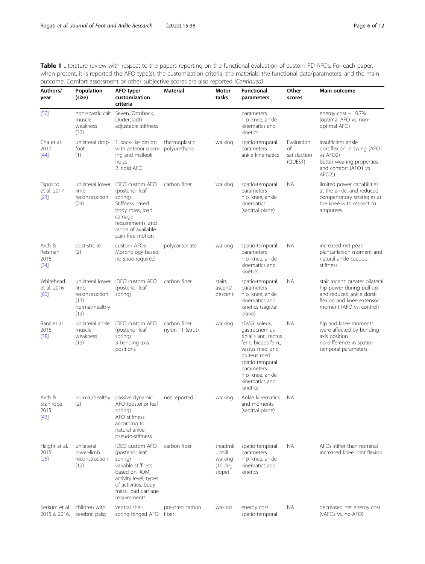Table 1 Literature review with respect to the papers reporting on the functional evaluation of custom PD-AFOs. For each paper, when present, it is reported the AFO type(s), the customization criteria, the materials, the functional data/parameters, and the main outcome. Comfort assessment or other subjective scores are also reported (Continued)

| Authors/<br>year                     | Population<br>(size)                                     | AFO type/<br>customization<br>criteria                                                                                                                                             | Material                         | Motor<br>tasks                                        | <b>Functional</b><br>parameters                                                                                                                                                                      | Other<br>scores                             | Main outcome                                                                                                                                     |
|--------------------------------------|----------------------------------------------------------|------------------------------------------------------------------------------------------------------------------------------------------------------------------------------------|----------------------------------|-------------------------------------------------------|------------------------------------------------------------------------------------------------------------------------------------------------------------------------------------------------------|---------------------------------------------|--------------------------------------------------------------------------------------------------------------------------------------------------|
| $[50]$                               | non-spastic calf<br>muscle<br>weakness<br>(37)           | Seven, Ottobock,<br>Duderstadt)<br>adjustable stiffness                                                                                                                            |                                  |                                                       | parameters<br>hip, knee, ankle<br>kinematics and<br>kinetics                                                                                                                                         |                                             | energy $cost - 10.7%$<br>(optimal AFO vs. non-<br>optimal AFO)                                                                                   |
| Cha et al.<br>2017<br>$[44]$         | unilateral drop-<br>foot<br>(1)                          | 1. sock-like design<br>with anterior open-<br>ing and malleoli<br>holes<br>2. rigid AFO                                                                                            | thermoplastic<br>polyurethane    | walking                                               | spatio-temporal<br>parameters<br>ankle kinematics                                                                                                                                                    | Evaluation<br>of<br>satisfaction<br>(QUEST) | insufficient ankle<br>dorsiflexion in swing (AFO1<br>vs AFO <sub>2</sub> )<br>better wearing properties<br>and comfort (AFO1 vs<br>AFO2)         |
| Esposito<br>et al. 2017<br>$[23]$    | unilateral lower<br>limb<br>reconstruction<br>(24)       | <b>IDEO</b> custom AFO<br>(posterior leaf<br>spring)<br>Stiffness based<br>body mass, load<br>carriage<br>requirements, and<br>range of available<br>pain-free motion              | carbon fiber                     | walking                                               | spatio-temporal<br>parameters<br>hip, knee, ankle<br>kinematics<br>(sagittal plane)                                                                                                                  | <b>NA</b>                                   | limited power capabilities<br>at the ankle, and reduced<br>compensatory strategies at<br>the knee with respect to<br>amputees                    |
| Arch &<br>Reisman<br>2016<br>$[34]$  | post-stroke<br>(2)                                       | custom AFOs<br>Morphology-based,<br>no shoe required                                                                                                                               | polycarbonate                    | walking                                               | spatio-temporal<br>parameters<br>hip, knee, ankle<br>kinematics and<br>kinetics                                                                                                                      | <b>NA</b>                                   | increased net peak<br>plantarflexion moment and<br>natural ankle pseudo-<br>stiffness.                                                           |
| Whitehead<br>et al. 2016<br>[60]     | limb<br>reconstruction<br>(13)<br>normal/healthy<br>(13) | unilateral lower IDEO custom AFO<br>(posterior leaf<br>spring)                                                                                                                     | carbon fiber                     | stairs<br>ascent/<br>descent                          | spatio-temporal<br>parameters<br>hip, knee, ankle<br>kinematics and<br>kinetics (sagittal<br>plane)                                                                                                  | NА                                          | stair ascent: greater bilateral<br>hip power during pull-up<br>and reduced ankle dorsi-<br>flexion and knee extensor<br>moment (AFO vs. control) |
| Ranz et al.<br>2016<br>$[38]$        | unilateral ankle<br>muscle<br>weakness<br>(13)           | <b>IDEO</b> custom AFO<br>(posterior leaf<br>spring)<br>3 bending axis<br>positions                                                                                                | carbon fiber<br>nylon 11 (strut) | walking                                               | sEMG: soleus,<br>gastrocnemius,<br>tibialis ant., rectus<br>fem., biceps fem.,<br>vastus med. and<br>gluteus med.<br>spatio-temporal<br>parameters<br>hip, knee, ankle<br>kinematics and<br>kinetics | <b>NA</b>                                   | hip and knee moments<br>were affected by bending<br>axis position<br>no difference in spatio-<br>temporal parameters                             |
| Arch &<br>Stanhope<br>2015<br>$[43]$ | (2)                                                      | normal/healthy passive dynamic<br>AFO (posterior leaf<br>spring)<br>AFO stiffness<br>according to<br>natural ankle<br>pseudo-stiffness                                             | not reported                     | walking                                               | Ankle kinematics<br>and moments<br>(sagittal plane)                                                                                                                                                  | <b>NA</b>                                   |                                                                                                                                                  |
| Haight at al.<br>2015<br>$[25]$      | unilateral<br>lower-limb<br>reconstruction<br>(12)       | <b>IDEO</b> custom AFO<br>(posterior leaf<br>spring)<br>variable stiffness<br>based on ROM,<br>activity level, types<br>of activities, body<br>mass, load carriage<br>requirements | carbon fiber                     | treadmill<br>uphill<br>walking<br>$(10$ deg<br>slope) | spatio-temporal<br>parameters<br>hip, knee, ankle<br>kinematics and<br>kinetics                                                                                                                      | NА                                          | AFOs stiffer than nominal<br>increased knee joint flexion                                                                                        |
| 2015 & 2016,                         | Kerkum et al. children with<br>cerebral palsy            | ventral shell<br>spring-hinged AFO                                                                                                                                                 | pre-preg carbon<br>fiber         | waking                                                | energy cost<br>spatio-temporal                                                                                                                                                                       | <b>NA</b>                                   | decreased net energy cost<br>(vAFOs vs. no-AFO)                                                                                                  |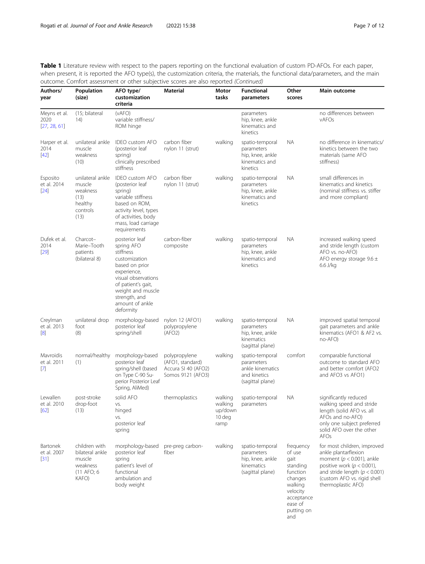Table 1 Literature review with respect to the papers reporting on the functional evaluation of custom PD-AFOs. For each paper, when present, it is reported the AFO type(s), the customization criteria, the materials, the functional data/parameters, and the main outcome. Comfort assessment or other subjective scores are also reported (Continued)

| Authors/<br>year                     | Population<br>(size)                                                          | AFO type/<br>customization<br>criteria                                                                                                                                                                         | <b>Material</b>                                                               | Motor<br>tasks                                  | <b>Functional</b><br>parameters                                                       | Other<br>scores                                                                                                                     | Main outcome                                                                                                                                                                                                     |
|--------------------------------------|-------------------------------------------------------------------------------|----------------------------------------------------------------------------------------------------------------------------------------------------------------------------------------------------------------|-------------------------------------------------------------------------------|-------------------------------------------------|---------------------------------------------------------------------------------------|-------------------------------------------------------------------------------------------------------------------------------------|------------------------------------------------------------------------------------------------------------------------------------------------------------------------------------------------------------------|
| Meyns et al.<br>2020<br>[27, 28, 61] | (15; bilateral<br>(14)                                                        | (vAFO)<br>variable stiffness/<br>ROM hinge                                                                                                                                                                     |                                                                               |                                                 | parameters<br>hip, knee, ankle<br>kinematics and<br>kinetics                          |                                                                                                                                     | no differences between<br>vAFOs                                                                                                                                                                                  |
| Harper et al.<br>2014<br>$[42]$      | unilateral ankle<br>muscle<br>weakness<br>(10)                                | <b>IDEO</b> custom AFO<br>(posterior leaf<br>spring)<br>clinically prescribed<br>stiffness                                                                                                                     | carbon fiber<br>nylon 11 (strut)                                              | walking                                         | spatio-temporal<br>parameters<br>hip, knee, ankle<br>kinematics and<br>kinetics       | NА                                                                                                                                  | no difference in kinematics/<br>kinetics between the two<br>materials (same AFO<br>stiffness)                                                                                                                    |
| Esposito<br>et al. 2014<br>$[24]$    | unilateral ankle<br>muscle<br>weakness<br>(13)<br>healthy<br>controls<br>(13) | <b>IDEO</b> custom AFO<br>(posterior leaf<br>spring)<br>variable stiffness<br>based on ROM,<br>activity level, types<br>of activities, body<br>mass, load carriage<br>requirements                             | carbon fiber<br>nylon 11 (strut)                                              | walking                                         | spatio-temporal<br>parameters<br>hip, knee, ankle<br>kinematics and<br>kinetics       | <b>NA</b>                                                                                                                           | small differences in<br>kinematics and kinetics<br>(nominal stiffness vs. stiffer<br>and more compliant)                                                                                                         |
| Dufek et al.<br>2014<br>$[29]$       | Charcot-<br>Marie-Tooth<br>patients<br>(bilateral 8)                          | posterior leaf<br>spring AFO<br>stiffness<br>customization<br>based on prior<br>experience,<br>visual observations<br>of patient's gait,<br>weight and muscle<br>strength, and<br>amount of ankle<br>deformity | carbon-fiber<br>composite                                                     | walking                                         | spatio-temporal<br>parameters<br>hip, knee, ankle<br>kinematics and<br>kinetics       | <b>NA</b>                                                                                                                           | increased walking speed<br>and stride length (custom<br>AFO vs. no-AFO)<br>AFO energy storage $9.6 \pm$<br>6.6 J/kg                                                                                              |
| Creylman<br>et al. 2013<br>[8]       | unilateral drop<br>foot<br>(8)                                                | morphology-based<br>posterior leaf<br>spring/shell                                                                                                                                                             | nylon 12 (AFO1)<br>polypropylene<br>(AFO2)                                    | walking                                         | spatio-temporal<br>parameters<br>hip, knee, ankle<br>kinematics<br>(sagittal plane)   | <b>NA</b>                                                                                                                           | improved spatial temporal<br>gait parameters and ankle<br>kinematics (AFO1 & AF2 vs.<br>no-AFO)                                                                                                                  |
| Mavroidis<br>et al. 2011<br>$[7]$    | normal/healthy<br>(1)                                                         | morphology-based<br>posterior leaf<br>spring/shell (based<br>on Type C-90 Su-<br>perior Posterior Leaf<br>Spring, AliMed)                                                                                      | polypropylene<br>(AFO1, standard)<br>Accura SI 40 (AFO2)<br>Somos 9121 (AFO3) | walking                                         | spatio-temporal<br>parameters<br>ankle kinematics<br>and kinetics<br>(sagittal plane) | comfort                                                                                                                             | comparable functional<br>outcome to standard AFO<br>and better comfort (AFO2<br>and AFO3 vs AFO1)                                                                                                                |
| Lewallen<br>et al. 2010<br>[62]      | post-stroke<br>drop-foot<br>(13)                                              | solid AFO<br>VS.<br>hinged<br>VS.<br>posterior leaf<br>spring                                                                                                                                                  | thermoplastics                                                                | walking<br>walking<br>up/down<br>10 deg<br>ramp | spatio-temporal<br>parameters                                                         | <b>NA</b>                                                                                                                           | significantly reduced<br>walking speed and stride<br>length (solid AFO vs. all<br>AFOs and no-AFO)<br>only one subject preferred<br>solid AFO over the other<br>AFOs                                             |
| Bartonek<br>et al. 2007<br>$[31]$    | children with<br>bilateral ankle<br>muscle<br>weakness<br>(11 AFO; 6<br>KAFO) | morphology-based<br>posterior leaf<br>spring<br>patient's level of<br>functional<br>ambulation and<br>body weight                                                                                              | pre-preg carbon-<br>fiber                                                     | walking                                         | spatio-temporal<br>parameters<br>hip, knee, ankle<br>kinematics<br>(sagittal plane)   | frequency<br>of use<br>gait<br>standing<br>function<br>changes<br>walking<br>velocity<br>acceptance<br>ease of<br>putting on<br>and | for most children, improved<br>ankle plantarflexion<br>moment ( $p < 0.001$ ), ankle<br>positive work ( $p < 0.001$ ),<br>and stride length ( $p < 0.001$ )<br>(custom AFO vs. rigid shell<br>thermoplastic AFO) |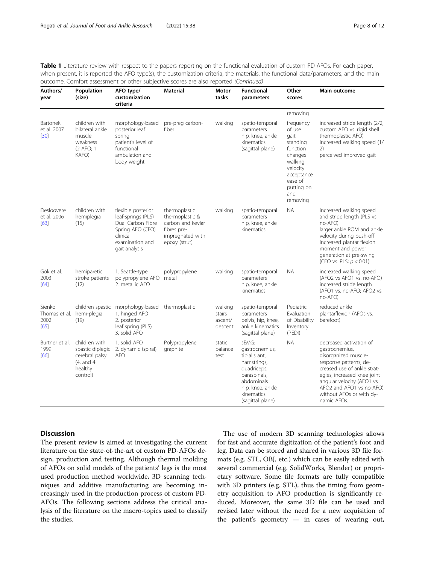Table 1 Literature review with respect to the papers reporting on the functional evaluation of custom PD-AFOs. For each paper, when present, it is reported the AFO type(s), the customization criteria, the materials, the functional data/parameters, and the main outcome. Comfort assessment or other subjective scores are also reported (Continued)

| Authors/<br>year                                      | Population<br>(size)                                                                     | AFO type/<br>customization<br>criteria                                                                                            | <b>Material</b>                                                                                           | Motor<br>tasks                          | <b>Functional</b><br>parameters                                                                                                                              | Other<br>scores                                                                                                                                 | Main outcome                                                                                                                                                                                                                                                   |
|-------------------------------------------------------|------------------------------------------------------------------------------------------|-----------------------------------------------------------------------------------------------------------------------------------|-----------------------------------------------------------------------------------------------------------|-----------------------------------------|--------------------------------------------------------------------------------------------------------------------------------------------------------------|-------------------------------------------------------------------------------------------------------------------------------------------------|----------------------------------------------------------------------------------------------------------------------------------------------------------------------------------------------------------------------------------------------------------------|
|                                                       |                                                                                          |                                                                                                                                   |                                                                                                           |                                         |                                                                                                                                                              | removing                                                                                                                                        |                                                                                                                                                                                                                                                                |
| Bartonek<br>et al. 2007<br>$[30]$                     | children with<br>bilateral ankle<br>muscle<br>weakness<br>(2 AFO; 1<br>KAFO)             | morphology-based<br>posterior leaf<br>spring<br>patient's level of<br>functional<br>ambulation and<br>body weight                 | pre-preg carbon-<br>fiber                                                                                 | walking                                 | spatio-temporal<br>parameters<br>hip, knee, ankle<br>kinematics<br>(sagittal plane)                                                                          | frequency<br>of use<br>gait<br>standing<br>function<br>changes<br>walking<br>velocity<br>acceptance<br>ease of<br>putting on<br>and<br>removing | increased stride length (2/2;<br>custom AFO vs. rigid shell<br>thermoplastic AFO)<br>increased walking speed (1/<br>2)<br>perceived improved gait                                                                                                              |
| Desloovere<br>et al. 2006<br>[63]                     | children with<br>hemiplegia<br>(15)                                                      | flexible posterior<br>leaf-springs (PLS)<br>Dual Carbon Fibre<br>Spring AFO (CFO)<br>clinical<br>examination and<br>gait analysis | thermoplastic<br>thermoplastic &<br>carbon and kevlar<br>fibres pre-<br>impregnated with<br>epoxy (strut) | walking                                 | spatio-temporal<br>parameters<br>hip, knee, ankle<br>kinematics                                                                                              | <b>NA</b>                                                                                                                                       | increased walking speed<br>and stride length (PLS vs.<br>no-AFO)<br>larger ankle ROM and ankle<br>velocity during push-off<br>increased plantar flexion<br>moment and power<br>generation at pre-swing<br>(CFO vs. PLS; $p < 0.01$ ).                          |
| Gök et al.<br>2003<br>[64]                            | hemiparetic<br>stroke patients<br>(12)                                                   | 1. Seattle-type<br>polypropylene AFO<br>2. metallic AFO                                                                           | polypropylene<br>metal                                                                                    | walking                                 | spatio-temporal<br>parameters<br>hip, knee, ankle<br>kinematics                                                                                              | <b>NA</b>                                                                                                                                       | increased walking speed<br>(AFO2 vs AFO1 vs. no-AFO)<br>increased stride length<br>(AFO1 vs. no-AFO; AFO2 vs.<br>no-AFO)                                                                                                                                       |
| Sienko<br>Thomas et al. hemi-plegia<br>2002<br>$[65]$ | children spastic<br>(19)                                                                 | morphology-based<br>1. hinged AFO<br>2. posterior<br>leaf spring (PLS)<br>3. solid AFO                                            | thermoplastic                                                                                             | walking<br>stairs<br>ascent/<br>descent | spatio-temporal<br>parameters<br>pelvis, hip, knee,<br>ankle kinematics<br>(sagittal plane)                                                                  | Pediatric<br>Evaluation<br>of Disability<br>Inventory<br>(PEDI)                                                                                 | reduced ankle<br>plantarflexion (AFOs vs.<br>barefoot)                                                                                                                                                                                                         |
| Burtner et al.<br>1999<br>[66]                        | children with<br>spastic diplegic<br>cerebral palsy<br>(4, and 4)<br>healthy<br>control) | 1. solid AFO<br>2. dynamic (spiral)<br><b>AFO</b>                                                                                 | Polypropylene<br>graphite                                                                                 | static<br>balance<br>test               | sEMG:<br>gastrocnemius,<br>tibialis ant.,<br>hamstrings,<br>quadriceps,<br>paraspinals,<br>abdominals.<br>hip, knee, ankle<br>kinematics<br>(sagittal plane) | <b>NA</b>                                                                                                                                       | decreased activation of<br>gastrocnemius,<br>disorganized muscle-<br>response patterns, de-<br>creased use of ankle strat-<br>egies, increased knee joint<br>angular velocity (AFO1 vs.<br>AFO2 and AFO1 vs no-AFO)<br>without AFOs or with dy-<br>namic AFOs. |

#### Discussion

The present review is aimed at investigating the current literature on the state-of-the-art of custom PD-AFOs design, production and testing. Although thermal molding of AFOs on solid models of the patients' legs is the most used production method worldwide, 3D scanning techniques and additive manufacturing are becoming increasingly used in the production process of custom PD-AFOs. The following sections address the critical analysis of the literature on the macro-topics used to classify the studies.

The use of modern 3D scanning technologies allows for fast and accurate digitization of the patient's foot and leg. Data can be stored and shared in various 3D file formats (e.g. STL, OBJ, etc.) which can be easily edited with several commercial (e.g. SolidWorks, Blender) or proprietary software. Some file formats are fully compatible with 3D printers (e.g. STL), thus the timing from geometry acquisition to AFO production is significantly reduced. Moreover, the same 3D file can be used and revised later without the need for a new acquisition of the patient's geometry — in cases of wearing out,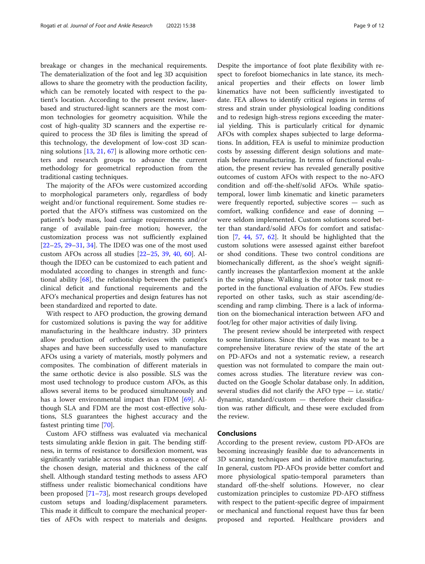breakage or changes in the mechanical requirements. The dematerialization of the foot and leg 3D acquisition allows to share the geometry with the production facility, which can be remotely located with respect to the patient's location. According to the present review, laserbased and structured-light scanners are the most common technologies for geometry acquisition. While the cost of high-quality 3D scanners and the expertise required to process the 3D files is limiting the spread of this technology, the development of low-cost 3D scanning solutions [[13,](#page-9-0) [21](#page-9-0), [67](#page-11-0)] is allowing more orthotic centers and research groups to advance the current methodology for geometrical reproduction from the traditional casting techniques.

The majority of the AFOs were customized according to morphological parameters only, regardless of body weight and/or functional requirement. Some studies reported that the AFO's stiffness was customized on the patient's body mass, load carriage requirements and/or range of available pain-free motion; however, the customization process was not sufficiently explained [[22](#page-9-0)–[25](#page-9-0), [29](#page-10-0)–[31](#page-10-0), [34](#page-10-0)]. The IDEO was one of the most used custom AFOs across all studies [\[22](#page-9-0)–[25,](#page-9-0) [39,](#page-10-0) [40,](#page-10-0) [60](#page-10-0)]. Although the IDEO can be customized to each patient and modulated according to changes in strength and functional ability [\[68](#page-11-0)], the relationship between the patient's clinical deficit and functional requirements and the AFO's mechanical properties and design features has not been standardized and reported to date.

With respect to AFO production, the growing demand for customized solutions is paving the way for additive manufacturing in the healthcare industry. 3D printers allow production of orthotic devices with complex shapes and have been successfully used to manufacture AFOs using a variety of materials, mostly polymers and composites. The combination of different materials in the same orthotic device is also possible. SLS was the most used technology to produce custom AFOs, as this allows several items to be produced simultaneously and has a lower environmental impact than FDM [[69\]](#page-11-0). Although SLA and FDM are the most cost-effective solutions, SLS guarantees the highest accuracy and the fastest printing time [\[70](#page-11-0)].

Custom AFO stiffness was evaluated via mechanical tests simulating ankle flexion in gait. The bending stiffness, in terms of resistance to dorsiflexion moment, was significantly variable across studies as a consequence of the chosen design, material and thickness of the calf shell. Although standard testing methods to assess AFO stiffness under realistic biomechanical conditions have been proposed [\[71](#page-11-0)–[73](#page-11-0)], most research groups developed custom setups and loading/displacement parameters. This made it difficult to compare the mechanical properties of AFOs with respect to materials and designs.

Despite the importance of foot plate flexibility with respect to forefoot biomechanics in late stance, its mechanical properties and their effects on lower limb kinematics have not been sufficiently investigated to date. FEA allows to identify critical regions in terms of stress and strain under physiological loading conditions and to redesign high-stress regions exceeding the material yielding. This is particularly critical for dynamic AFOs with complex shapes subjected to large deformations. In addition, FEA is useful to minimize production costs by assessing different design solutions and materials before manufacturing. In terms of functional evaluation, the present review has revealed generally positive outcomes of custom AFOs with respect to the no-AFO condition and off-the-shelf/solid AFOs. While spatiotemporal, lower limb kinematic and kinetic parameters were frequently reported, subjective scores — such as comfort, walking confidence and ease of donning were seldom implemented. Custom solutions scored better than standard/solid AFOs for comfort and satisfaction [\[7](#page-9-0), [44](#page-10-0), [57](#page-10-0), [62](#page-10-0)]. It should be highlighted that the custom solutions were assessed against either barefoot or shod conditions. These two control conditions are biomechanically different, as the shoe's weight significantly increases the plantarflexion moment at the ankle in the swing phase. Walking is the motor task most reported in the functional evaluation of AFOs. Few studies reported on other tasks, such as stair ascending/descending and ramp climbing. There is a lack of information on the biomechanical interaction between AFO and foot/leg for other major activities of daily living.

The present review should be interpreted with respect to some limitations. Since this study was meant to be a comprehensive literature review of the state of the art on PD-AFOs and not a systematic review, a research question was not formulated to compare the main outcomes across studies. The literature review was conducted on the Google Scholar database only. In addition, several studies did not clarify the AFO type — i.e. static/ dynamic, standard/custom — therefore their classification was rather difficult, and these were excluded from the review.

#### Conclusions

According to the present review, custom PD-AFOs are becoming increasingly feasible due to advancements in 3D scanning techniques and in additive manufacturing. In general, custom PD-AFOs provide better comfort and more physiological spatio-temporal parameters than standard off-the-shelf solutions. However, no clear customization principles to customize PD-AFO stiffness with respect to the patient-specific degree of impairment or mechanical and functional request have thus far been proposed and reported. Healthcare providers and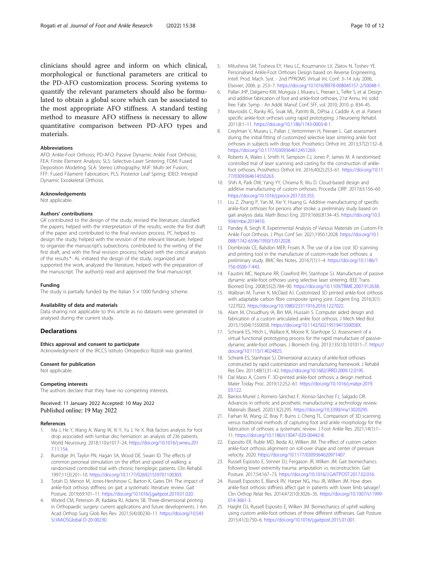<span id="page-9-0"></span>clinicians should agree and inform on which clinical, morphological or functional parameters are critical to the PD-AFO customization process. Scoring systems to quantify the relevant parameters should also be formulated to obtain a global score which can be associated to the most appropriate AFO stiffness. A standard testing method to measure AFO stiffness is necessary to allow quantitative comparison between PD-AFO types and materials.

#### Abbreviations

AFO: Ankle-Foot Orthosis; PD-AFO: Passive Dynamic Ankle Foot Orthosis; FEA: Finite Element Analysis; SLS: Selective-Laser Sintering; FDM: Fused Deposition Modeling; SLA: Stereo Lithography; MJF: Multi-Jet Fusion; FFF: Fused Filament Fabrication; PLS: Posterior Leaf Spring; IDEO: Intrepid Dynamic Exoskeletal Orthosis.

#### Acknowledgements

Not applicable.

#### Authors' contributions

GR contributed to the design of the study; revised the literature; classified the papers; helped with the interpretation of the results; wrote the first draft of the paper and contributed to the final revision process. PC helped to design the study; helped with the revision of the relevant literature; helped to organize the manuscript's subsections; contributed to the writing of the first draft, and with the final revision process; helped with the critical analysis of the results.\*- AL initiated the design of the study, organized and supported the work, analyzed the literature, helped with the preparation of the manuscript. The author(s) read and approved the final manuscript.

#### Funding

The study is partially funded by the Italian  $5 \times 1000$  funding scheme.

#### Availability of data and materials

Data sharing not applicable to this article as no datasets were generated or analysed during the current study.

#### Declarations

#### Ethics approval and consent to participate

Acknowledgment of the IRCCS Istituto Ortopedico Rizzoli was granted.

#### Consent for publication

Not applicable.

#### Competing interests

The authors declare that they have no competing interests.

Received: 11 January 2022 Accepted: 10 May 2022 Published online: 19 May 2022

#### References

- 1. Ma J, He Y, Wang A, Wang W, Xi Y, Yu J, Ye X. Risk factors analysis for foot drop associated with lumbar disc herniation: an analysis of 236 patients. World Neurosurg. 2018;110:e1017–24. [https://doi.org/10.1016/j.wneu.201](https://doi.org/10.1016/j.wneu.2017.11.154) [7.11.154.](https://doi.org/10.1016/j.wneu.2017.11.154)
- 2. Burridge JH, Taylor PN, Hagan SA, Wood DE, Swain ID. The effects of common peroneal stimulation on the effort and speed of walking: a randomized controlled trial with chronic hemiplegic patients. Clin Rehabil. 1997;11(3):201–10. <https://doi.org/10.1177/026921559701100303>.
- 3. Totah D, Menon M, Jones-Hershinow C, Barton K, Gates DH. The impact of ankle-foot orthosis stiffness on gait: a systematic literature review. Gait Posture. 2019;69:101–11. <https://doi.org/10.1016/j.gaitpost.2019.01.020>.
- 4. Wixted CM, Peterson JR, Kadakia RJ, Adams SB. Three-dimensional printing in Orthopaedic surgery: current applications and future developments. J Am Acad Orthop Surg Glob Res Rev. 2021;5(4):00230–11. [https://doi.org/10.543](https://doi.org/10.5435/JAAOSGlobal-D-20-00230) [5/JAAOSGlobal-D-20-00230](https://doi.org/10.5435/JAAOSGlobal-D-20-00230).
- 5. Milusheva SM, Tosheva EY, Hieu LC, Kouzmanov LV, Zlatov N, Toshev YE. Personalised Ankle-Foot Orthoses Design based on Reverse Engineering, Intell. Prod. Mach. Syst. - 2nd I\*PROMS Virtual Int. Conf. 3–14 July 2006, Elsevier; 2006. p. 253–7. [https://doi.org/10.1016/B978-008045157-2/50048-1.](https://doi.org/10.1016/B978-008045157-2/50048-1)
- 6. Pallari JHP, Dalgarno KW, Munguia J, Muraru L, Peeraer L, Telfer S, et al. Design and additive fabrication of foot and ankle-foot orthoses, 21st Annu. Int. solid free. Fabr. Symp. - An Addit. Manuf. Conf. SFF, vol. 2010; 2010. p. 834–45.
- 7. Mavroidis C, Ranky RG, Sivak ML, Patritti BL, DiPisa J, Caddle A, et al. Patient specific ankle-foot orthoses using rapid prototyping. J Neuroeng Rehabil. 2011;8:1–11. [https://doi.org/10.1186/1743-0003-8-1.](https://doi.org/10.1186/1743-0003-8-1)
- 8. Creylman V, Muraru L, Pallari J, Vertommen H, Peeraer L. Gait assessment during the initial fitting of customized selective laser sintering ankle foot orthoses in subjects with drop foot. Prosthetics Orthot Int. 2013;37(2):132–8. [https://doi.org/10.1177/0309364612451269.](https://doi.org/10.1177/0309364612451269)
- 9. Roberts A, Wales J, Smith H, Sampson CJ, Jones P, James M. A randomised controlled trial of laser scanning and casting for the construction of anklefoot orthoses. Prosthetics Orthot Int. 2016;40(2):253–61. [https://doi.org/10.11](https://doi.org/10.1177/0309364614550263) [77/0309364614550263.](https://doi.org/10.1177/0309364614550263)
- 10. Shih A, Park DW, Yang YY, Chisena R, Wu D. Cloud-based design and additive manufacturing of custom orthoses. Procedia CIRP. 2017;63:156–60. <https://doi.org/10.1016/j.procir.2017.03.355>.
- 11. Liu Z, Zhang P, Yan M, Xie Y, Huang G. Additive manufacturing of specific ankle-foot orthoses for persons after stroke: a preliminary study based on gait analysis data. Math Biosci Eng. 2019;16(6):8134–43. [https://doi.org/10.3](https://doi.org/10.3934/mbe.2019410) [934/mbe.2019410.](https://doi.org/10.3934/mbe.2019410)
- 12. Pandey R, Singh R. Experimental Analysis of Various Materials on Custom-Fit Ankle Foot Orthosis. J Phys Conf Ser. 2021;1950:12028. [https://doi.org/10.1](https://doi.org/10.1088/1742-6596/1950/1/012028) [088/1742-6596/1950/1/012028.](https://doi.org/10.1088/1742-6596/1950/1/012028)
- 13. Dombroski CE, Balsdon MER, Froats A. The use of a low cost 3D scanning and printing tool in the manufacture of custom-made foot orthoses: a preliminary study. BMC Res Notes. 2014;7(1):1–4. [https://doi.org/10.1186/1](https://doi.org/10.1186/1756-0500-7-443) [756-0500-7-443.](https://doi.org/10.1186/1756-0500-7-443)
- 14. Faustini MC, Neptune RR, Crawford RH, Stanhope SJ. Manufacture of passive dynamic ankle-foot orthoses using selective laser sintering. IEEE Trans Biomed Eng. 2008;55(2):784–90. <https://doi.org/10.1109/TBME.2007.912638>.
- 15. Walbran M, Turner K, McDaid AJ. Customized 3D printed ankle-foot orthosis with adaptable carbon fibre composite spring joint. Cogent Eng. 2016;3(1): 1227022. <https://doi.org/10.1080/23311916.2016.1227022>.
- 16. Alam M, Choudhury IA, Bin MA, Hussain S. Computer aided design and fabrication of a custom articulated ankle foot orthosis. J Mech Med Biol. 2015;15(04):1550058. [https://doi.org/10.1142/S021951941550058X.](https://doi.org/10.1142/S021951941550058X)
- 17. Schrank ES, Hitch L, Wallace K, Moore R, Stanhope SJ. Assessment of a virtual functional prototyping process for the rapid manufacture of passivedynamic ankle-foot orthoses. J Biomech Eng. 2013;135(10):101011–7. [https://](https://doi.org/10.1115/1.4024825) [doi.org/10.1115/1.4024825.](https://doi.org/10.1115/1.4024825)
- 18. Schrank ES, Stanhope SJ. Dimensional accuracy of ankle-foot orthoses constructed by rapid customization and manufacturing framework. J Rehabil Res Dev. 2011;48(1):31–42. <https://doi.org/10.1682/JRRD.2009.12.0195>.
- 19. Dal Maso A, Cosmi F. 3D-printed ankle-foot orthosis: a design method. Mater Today Proc. 2019;12:252–61. [https://doi.org/10.1016/j.matpr.2019.](https://doi.org/10.1016/j.matpr.2019.03.122) [03.122](https://doi.org/10.1016/j.matpr.2019.03.122).
- 20. Barrios-Muriel J, Romero-Sánchez F, Alonso-Sánchez FJ, Salgado DR. Advances in orthotic and prosthetic manufacturing: a technology review. Materials (Basel). 2020;13(2):295. <https://doi.org/10.3390/ma13020295>.
- 21. Farhan M, Wang JZ, Bray P, Burns J, Cheng TL. Comparison of 3D scanning versus traditional methods of capturing foot and ankle morphology for the fabrication of orthoses: a systematic review. J Foot Ankle Res. 2021;14(1):1– 11. [https://doi.org/10.1186/s13047-020-00442-8.](https://doi.org/10.1186/s13047-020-00442-8)
- 22. Esposito ER, Ruble MD, Ikeda AJ, Wilken JM. The effect of custom carbon ankle-foot orthosis alignment on roll-over shape and center of pressure velocity. 2020. [https://doi.org/10.1177/0309364620971407.](https://doi.org/10.1177/0309364620971407)
- 23. Russell Esposito E, Stinner DJ, Fergason JR, Wilken JM. Gait biomechanics following lower extremity trauma: amputation vs. reconstruction. Gait Posture. 2017;54:167–73. <https://doi.org/10.1016/J.GAITPOST.2017.02.016>.
- 24. Russell Esposito E, Blanck RV, Harper NG, Hsu JR, Wilken JM. How does ankle-foot orthosis stiffness affect gait in patients with lower limb salvage? Clin Orthop Relat Res. 2014;472(10):3026–35. [https://doi.org/10.1007/s11999-](https://doi.org/10.1007/s11999-014-3661-3) [014-3661-3](https://doi.org/10.1007/s11999-014-3661-3).
- 25. Haight DJ, Russell Esposito E, Wilken JM. Biomechanics of uphill walking using custom ankle-foot orthoses of three different stiffnesses. Gait Posture. 2015;41(3):750–6. <https://doi.org/10.1016/j.gaitpost.2015.01.001>.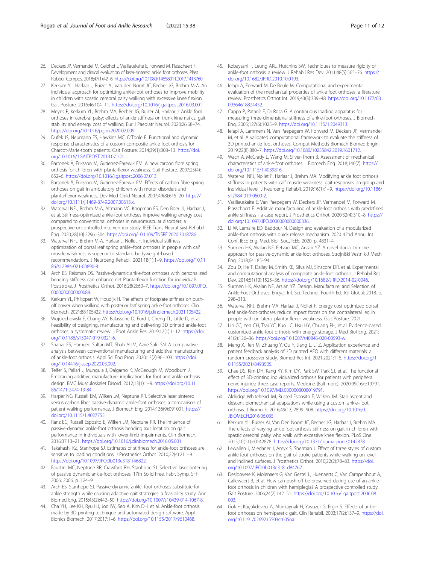- <span id="page-10-0"></span>26. Deckers JP, Vermandel M, Geldhof J, Vasiliauskaite E, Forward M, Plasschaert F. Development and clinical evaluation of laser-sintered ankle foot orthoses. Plast Rubber Compos. 2018;47(1):42–6. [https://doi.org/10.1080/14658011.2017.1413760.](https://doi.org/10.1080/14658011.2017.1413760)
- 27. Kerkum YL, Harlaar J, Buizer AI, van den Noort JC, Becher JG, Brehm M-A. An individual approach for optimizing ankle-foot orthoses to improve mobility in children with spastic cerebral palsy walking with excessive knee flexion. Gait Posture. 2016;46:104–11. [https://doi.org/10.1016/j.gaitpost.2016.03.001.](https://doi.org/10.1016/j.gaitpost.2016.03.001)
- 28. Meyns P, Kerkum YL, Brehm MA, Becher JG, Buizer AI, Harlaar J. Ankle foot orthoses in cerebral palsy: effects of ankle stiffness on trunk kinematics, gait stability and energy cost of walking. Eur J Paediatr Neurol. 2020;26:68–74. <https://doi.org/10.1016/j.ejpn.2020.02.009>.
- 29. Dufek JS, Neumann ES, Hawkins MC, O'Toole B. Functional and dynamic response characteristics of a custom composite ankle foot orthosis for Charcot-Marie-tooth patients. Gait Posture. 2014;39(1):308–13. [https://doi.](https://doi.org/10.1016/J.GAITPOST.2013.07.121) [org/10.1016/J.GAITPOST.2013.07.121.](https://doi.org/10.1016/J.GAITPOST.2013.07.121)
- 30. Bartonek Å, Eriksson M, Gutierrez-Farewik EM. A new carbon fibre spring orthosis for children with plantarflexor weakness. Gait Posture. 2007;25(4): 652–6. <https://doi.org/10.1016/j.gaitpost.2006.07.013>.
- 31. Bartonek Å, Eriksson M, Gutierrez-Farewik EM. Effects of carbon fibre spring orthoses on gait in ambulatory children with motor disorders and plantarflexor weakness. Dev Med Child Neurol. 2007;49(8):615–20. [https://](https://doi.org/10.1111/j.1469-8749.2007.00615.x) [doi.org/10.1111/j.1469-8749.2007.00615.x.](https://doi.org/10.1111/j.1469-8749.2007.00615.x)
- 32. Waterval NFJ, Brehm M-A, Altmann VC, Koopman FS, Den Boer JJ, Harlaar J, et al. Stiffness-optimized ankle-foot orthoses improve walking energy cost compared to conventional orthoses in neuromuscular disorders: a prospective uncontrolled intervention study. IEEE Trans Neural Syst Rehabil Eng. 2020;28(10):2296–304. <https://doi.org/10.1109/TNSRE.2020.3018786>.
- 33. Waterval NFJ, Brehm M-A, Harlaar J, Nollet F. Individual stiffness optimization of dorsal leaf spring ankle–foot orthoses in people with calf muscle weakness is superior to standard bodyweight-based recommendations. J Neuroeng Rehabil. 2021;18(1):1–9. [https://doi.org/10.11](https://doi.org/10.1186/s12984-021-00890-8) [86/s12984-021-00890-8.](https://doi.org/10.1186/s12984-021-00890-8)
- 34. Arch ES, Reisman DS. Passive-dynamic ankle-foot orthoses with personalized bending stiffness can enhance net Plantarflexor function for individuals Poststroke. J Prosthetics Orthot. 2016;28(2):60–7. [https://doi.org/10.1097/JPO.](https://doi.org/10.1097/JPO.0000000000000089) [0000000000000089](https://doi.org/10.1097/JPO.0000000000000089).
- 35. Kerkum YL, Philippart W, Houdijk H. The effects of footplate stiffness on pushoff power when walking with posterior leaf spring ankle-foot orthoses. Clin Biomech. 2021;88:105422. <https://doi.org/10.1016/j.clinbiomech.2021.105422>.
- 36. Wojciechowski E, Chang AY, Balassone D, Ford J, Cheng TL, Little D, et al. Feasibility of designing, manufacturing and delivering 3D printed ankle-foot orthoses: a systematic review. J Foot Ankle Res. 2019;12(1):1–12. [https://doi.](https://doi.org/10.1186/s13047-019-0321-6) [org/10.1186/s13047-019-0321-6](https://doi.org/10.1186/s13047-019-0321-6).
- 37. Shahar FS, Hameed Sultan MT, Shah AUM, Azrie Safri SN. A comparative analysis between conventional manufacturing and additive manufacturing of ankle-foot orthosis. Appl Sci Eng Prog. 2020;13(2):96–103. [https://doi.](https://doi.org/10.14416/j.asep.2020.03.002) [org/10.14416/j.asep.2020.03.002](https://doi.org/10.14416/j.asep.2020.03.002).
- 38. Telfer S, Pallari J, Munguia J, Dalgarno K, McGeough M, Woodburn J. Embracing additive manufacture: implications for foot and ankle orthosis design. BMC Musculoskelet Disord. 2012;13(1):1–9. [https://doi.org/10.11](https://doi.org/10.1186/1471-2474-13-84) [86/1471-2474-13-84](https://doi.org/10.1186/1471-2474-13-84).
- 39. Harper NG, Russell EM, Wilken JM, Neptune RR. Selective laser sintered versus carbon fiber passive-dynamic ankle-foot orthoses: a comparison of patient walking performance. J Biomech Eng. 2014;136(9):091001. [https://](https://doi.org/10.1115/1.4027755) [doi.org/10.1115/1.4027755.](https://doi.org/10.1115/1.4027755)
- 40. Ranz EC, Russell Esposito E, Wilken JM, Neptune RR. The influence of passive-dynamic ankle-foot orthosis bending axis location on gait performance in individuals with lower-limb impairments. Clin Biomech. 2016;37:13–21. <https://doi.org/10.1016/j.clinbiomech.2016.05.001>.
- 41. Takahashi KZ, Stanhope SJ. Estimates of stiffness for ankle-foot orthoses are sensitive to loading conditions. J Prosthetics Orthot. 2010;22(4):211–9. <https://doi.org/10.1097/JPO.0b013e3181f46822>.
- 42. Faustini MC, Neptune RR, Crawford RH, Stanhope SJ. Selective laser sintering of passive dynamic ankle-foot orthoses. 17th Solid Free. Fabr. Symp. SFF 2006; 2006. p. 124–9.
- 43. Arch ES, Stanhope SJ. Passive-dynamic ankle–foot orthoses substitute for ankle strength while causing adaptive gait strategies: a feasibility study. Ann Biomed Eng. 2015;43(2):442–50. <https://doi.org/10.1007/s10439-014-1067-8>.
- 44. Cha YH, Lee KH, Ryu HJ, Joo IW, Seo A, Kim DH, et al. Ankle-foot orthosis made by 3D printing technique and automated design software. Appl Bionics Biomech. 2017;2017:1–6. <https://doi.org/10.1155/2017/9610468>.
- 45. Kobayashi T, Leung AKL, Hutchins SW. Techniques to measure rigidity of ankle-foot orthosis: a review. J Rehabil Res Dev. 2011;48(5):565–76. [https://](https://doi.org/10.1682/JRRD.2010.10.0193) [doi.org/10.1682/JRRD.2010.10.0193](https://doi.org/10.1682/JRRD.2010.10.0193).
- 46. Ielapi A, Forward M, De Beule M. Computational and experimental evaluation of the mechanical properties of ankle foot orthoses: a literature review. Prosthetics Orthot Int. 2019;43(3):339–48. [https://doi.org/10.1177/03](https://doi.org/10.1177/0309364618824452) [09364618824452](https://doi.org/10.1177/0309364618824452).
- 47. Cappa P, Patanè F, Di Rosa G. A continuous loading apparatus for measuring three-dimensional stiffness of ankle-foot orthoses. J Biomech Eng. 2005;127(6):1025–9. [https://doi.org/10.1115/1.2049313.](https://doi.org/10.1115/1.2049313)
- 48. Ielapi A, Lammens N, Van Paepegem W, Forward M, Deckers JP, Vermandel M, et al. A validated computational framework to evaluate the stiffness of 3D printed ankle foot orthoses. Comput Methods Biomech Biomed Engin. 2019;22(8):880–7. [https://doi.org/10.1080/10255842.2019.1601712.](https://doi.org/10.1080/10255842.2019.1601712)
- 49. Wach A, McGrady L, Wang M, Silver-Thorn B. Assessment of mechanical characteristics of ankle-foot orthoses. J Biomech Eng. 2018;140(7). [https://](https://doi.org/10.1115/1.4039816) [doi.org/10.1115/1.4039816.](https://doi.org/10.1115/1.4039816)
- 50. Waterval NFJ, Nollet F, Harlaar J, Brehm MA. Modifying ankle foot orthosis stiffness in patients with calf muscle weakness: gait responses on group and individual level. J Neuroeng Rehabil. 2019;16(1):1–9. [https://doi.org/10.1186/](https://doi.org/10.1186/s12984-019-0600-2) [s12984-019-0600-2.](https://doi.org/10.1186/s12984-019-0600-2)
- 51. Vasiliauskaite E, Van Paepegem W, Deckers JP, Vermandel M, Forward M, Plasschaert F. Additive manufacturing of ankle-foot orthosis with predefined ankle stiffness - a case report. J Prosthetics Orthot. 2020;32(4):310–8. [https://](https://doi.org/10.1097/JPO.0000000000000336) [doi.org/10.1097/JPO.0000000000000336.](https://doi.org/10.1097/JPO.0000000000000336)
- 52. Li W, Lemaire ED, Baddour N. Design and evaluation of a modularized ankle-foot orthosis with quick release mechanism. 2020 42nd Annu. Int. Conf. IEEE Eng. Med. Biol. Soc., IEEE; 2020. p. 4831–4.
- Surmen HK, Akalan NE, Fetvaci MC, Arslan YZ. A novel dorsal trimline approach for passive-dynamic ankle-foot orthoses. Strojniški Vestnik-J Mech Eng. 2018;64:185–94.
- 54. Zou D, He T, Dailey M, Smith KE, Silva MJ, Sinacore DR, et al. Experimental and computational analysis of composite ankle-foot orthosis. J Rehabil Res Dev. 2014;51(10):1525–36. [https://doi.org/10.1682/JRRD.2014-02-0046.](https://doi.org/10.1682/JRRD.2014-02-0046)
- 55. Surmen HK, Akalan NE, Arslan YZ. Design, Manufacture, and Selection of Ankle-Foot-Orthoses. Encycl. Inf. Sci. Technol. Fourth Ed., IGI Global; 2018. p. 298–313.
- 56. Waterval NFJ, Brehm MA, Harlaar J, Nollet F. Energy cost optimized dorsal leaf ankle-foot-orthoses reduce impact forces on the contralateral leg in people with unilateral plantar flexor weakness. Gait Posture. 2021.
- 57. Lin CC, Yeh CH, Tsai YC, Kuo LC, Hsu HY, Chuang PH, et al. Evidence-based customized ankle-foot orthosis with energy storage. J Med Biol Eng. 2021; 41(2):126–36. <https://doi.org/10.1007/s40846-020-00593-w>.
- 58. Meng X, Ren M, Zhuang Y, Qu Y, Jiang L, Li Z. Application experience and patient feedback analysis of 3D printed AFO with different materials: a random crossover study. Biomed Res Int. 2021;2021:1–6. [https://doi.org/1](https://doi.org/10.1155/2021/8493505) [0.1155/2021/8493505](https://doi.org/10.1155/2021/8493505).
- 59. Chae DS, Kim DH, Kang KY, Kim DY, Park SW, Park SJ, et al. The functional effect of 3D-printing individualized orthosis for patients with peripheral nerve injuries: three case reports. Medicine (Baltimore). 2020;99(16):e19791. [https://doi.org/10.1097/MD.0000000000019791.](https://doi.org/10.1097/MD.0000000000019791)
- 60. Aldridge Whitehead JM, Russell Esposito E, Wilken JM. Stair ascent and descent biomechanical adaptations while using a custom ankle–foot orthosis. J Biomech. 2016;49(13):2899–908. [https://doi.org/10.1016/J.](https://doi.org/10.1016/J.JBIOMECH.2016.06.035) [JBIOMECH.2016.06.035](https://doi.org/10.1016/J.JBIOMECH.2016.06.035).
- 61. Kerkum YL, Buizer AI, Van Den Noort JC, Becher JG, Harlaar J, Brehm MA. The effects of varying ankle foot orthosis stiffness on gait in children with spastic cerebral palsy who walk with excessive knee flexion. PLoS One. 2015;10(11):e0142878. [https://doi.org/10.1371/journal.pone.0142878.](https://doi.org/10.1371/journal.pone.0142878)
- 62. Lewallen J, Miedaner J, Amyx S, Sherman J. Effect of three styles of custom ankle foot orthoses on the gait of stroke patients while walking on level and inclined surfaces. J Prosthetics Orthot. 2010;22(2):78–83. [https://doi.](https://doi.org/10.1097/JPO.0b013e3181d84767) [org/10.1097/JPO.0b013e3181d84767](https://doi.org/10.1097/JPO.0b013e3181d84767).
- 63. Desloovere K, Molenaers G, Van Gestel L, Huenaerts C, Van Campenhout A, Callewaert B, et al. How can push-off be preserved during use of an ankle foot orthosis in children with hemiplegia? A prospective controlled study. Gait Posture. 2006;24(2):142–51. [https://doi.org/10.1016/j.gaitpost.2006.08.](https://doi.org/10.1016/j.gaitpost.2006.08.003) [003.](https://doi.org/10.1016/j.gaitpost.2006.08.003)
- 64. Gök H, Küçükdeveci A, Altinkaynak H, Yavuzer G, Ergin S. Effects of anklefoot orthoses on hemiparetic gait. Clin Rehabil. 2003;17(2):137–9. [https://doi.](https://doi.org/10.1191/0269215503cr605oa) [org/10.1191/0269215503cr605oa.](https://doi.org/10.1191/0269215503cr605oa)